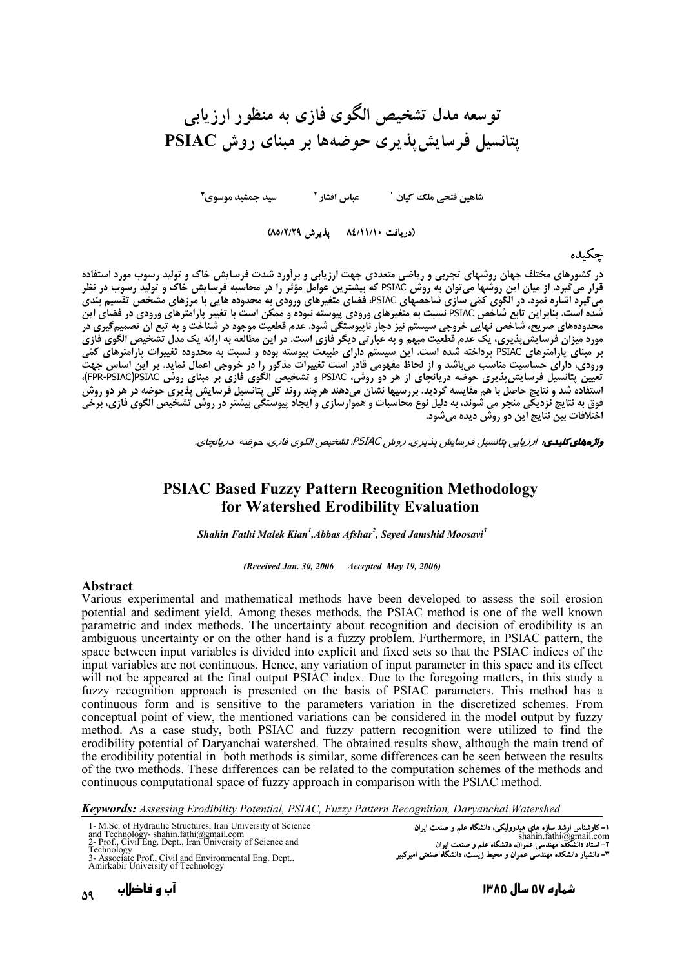# تو سعه مدل تشخیص الگوی فازی به منظور ارزیابی يتانسيل فرسايش يذيري حوضهها بر مبناي روش PSIAC

سيد حمشيد موسوي٢ 

(دريافت ٨٤/١١/١٠ يذيرش ٨٥/٢/٢٩)

#### حكىدە

در کشورهای مختلف جهان روشهای تجربی و ریاضی متعددی جهت ارزیابی و برآورد شدت فرسایش خاک و تولید رسوب مورد استفاده<br>قرار میگیرد. از میان این روشها میتوان به روش PSIAC که بیشترین عوامل مؤثر را در محاسبه فرسایش خاک و تولید رسوب بر مبنای پارامترهای PSIAC پرداخته شده است. این سیستم دارای طبیعت پیوسته بوده و نسبت به محدوده تغییرات پارامترهای کمّی ورودی، دارای حساسیت مناسب میباشد و از لحاظ مفهومی قادر است تغییرات مذکور را در خروجی اعمال نماید. بر این اساس جهت .<br>تعیین پتانسیل فرسایش پذیری حوضه دریانچای از هر دو روش، PSIAC و تشخیص الگوی فازی بر مبنای روش PR-PSIAC)PSIACآ)،<br>استفاده شد و نتایج حاصل با هم مقایسه گردید. بررسیها نشان میدهند هرچند روند کلی پتانسیل فرسایش پذیری حوضه در فوق به نتایج نزدیکی منجر می شوند، به دلیل نوع محاسبات و هموارسازی و ایجاد پیوستگی بیشتر در روش تشخیص الگوی فازی، برخی<br>اختلافات بین نتایج این دو روش دیده میشود.

واژههای کلیدی، ارزیابی بتانسیل فرسایش پذیری، روش PSIAC، تشخیص الگوی فازی، دوضه دریانجای.

### **PSIAC Based Fuzzy Pattern Recognition Methodology** for Watershed Erodibility Evaluation

Shahin Fathi Malek Kian<sup>1</sup>, Abbas Afshar<sup>2</sup>, Seyed Jamshid Moosavi<sup>3</sup>

(Received Jan. 30, 2006 Accepted May 19, 2006)

#### Abstract

Various experimental and mathematical methods have been developed to assess the soil erosion potential and sediment yield. Among theses methods, the PSIAC method is one of the well known parametric and index methods. The uncertainty about recognition and decision of erodibility is an ambiguous uncertainty or on the other hand is a fuzzy problem. Furthermore, in PSIAC pattern, the space between input variables is divided into explicit and fixed sets so that the PSIAC indices of the input variables are not continuous. Hence, any variation of input parameter in this space and its effect will not be appeared at the final output PSIAC index. Due to the foregoing matters, in this study a fuzzy recognition approach is presented on the basis of PSIAC parameters. This method has a continuous form and is sensitive to the parameters variation in the discretized schemes. From conceptual point of view, the mentioned variations can be considered in the model output by fuzzy method. As a case study, both PSIAC and fuzzy pattern recognition were utilized to find the erodibility potential of Daryanchai watershed. The obtained results show, although the main trend of the erodibility potential in both methods is similar, some differences can be seen between the results of the two methods. These differences can be related to the computation schemes of the methods and continuous computational space of fuzzy approach in comparison with the PSIAC method.

Keywords: Assessing Erodibility Potential, PSIAC, Fuzzy Pattern Recognition, Daryanchai Watershed.

| 1- M.Sc. of Hydraulic Structures, Iran University of Science                                        | ۱– کارشناس ارشد سازه های هیدرولیکی، دانشگاه علم و صنعت ایران        |
|-----------------------------------------------------------------------------------------------------|---------------------------------------------------------------------|
| and Technology-shahin.fathi@gmail.com<br>2- Prof., Civil Eng. Dept., Iran University of Science and | shahin.fathi@gmail.com                                              |
| Technology                                                                                          | ۲- استاد دانشکده مهندسی عمران، دانشگاه علم و صنعت ایران             |
| 3- Associate Prof., Civil and Environmental Eng. Dept.,                                             | ۳– دانشیار دانشکده مهندسی عمران و محیط زیست، دانشگاه صنعتی امیرکبیر |
| Amirkabir University of Technology                                                                  |                                                                     |

شماره ۵۷ سال ۱۳۸۵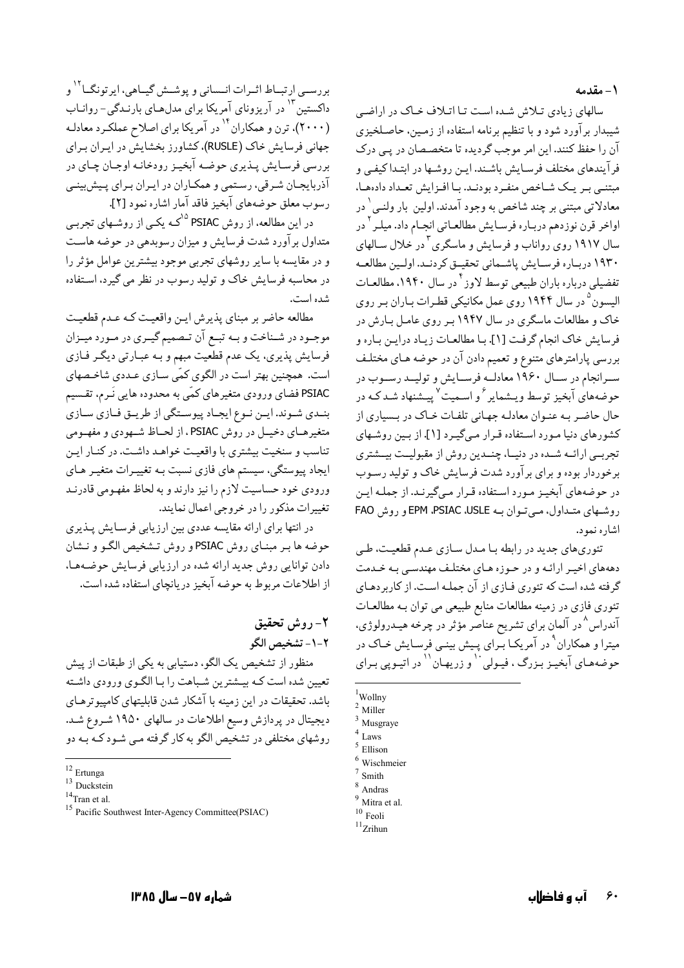١- مقدمه

سالهای زیادی تلاش شده است تا اتلاف خاک در اراضی شیبدار برآورد شود و با تنظیم برنامه استفاده از زمین، حاصـلخیزی آن را حفظ کنند. این امر موجب گردیده تا متخصـصان در یـی درک فرآیندهای مختلف فرسـایش باشـند. ایـن روشـها در ابتـداکیفـی و مبتنے پیر یک شیاخص منفیرد بودنید. بیا افیزایش تعبداد دادہھیا، معادلاتي مبتني بر چند شاخص به وجود آمدند. اولين بار ولنـي ٰ در اواخر قرن نوز دهم دربـار ه فرسـايش مطالعـاتي انجـام داد. ميلـر <sup>۲</sup> در سال ۱۹۱۷ روی رواناب و فرسایش و ماسگری <sup>۳</sup> در خلال سـالهای ١٩٣٠ دربـاره فرسـايش پاشـماني تحقيـق كردنـد. اولـين مطالعـه تفضیلی درباره باران طبیعی توسط لاوز<sup>۴</sup>در سال ۱۹۴۰، مطالعـات الیسون<sup>۵</sup> در سال ۱۹۴۴ روی عمل مکانیکی قطـرات بـاران بـر روی خاک و مطالعات ماسگری در سال ۱۹۴۷ بـر روی عامـل بـارش در فرسايش خاك انجام گرفت [۱]. بـا مطالعـات زيـاد درايـن بـاره و بررسی پارامترهای متنوع و تعمیم دادن آن در حوضه هـای مختلـف سـرانجام در سـال ۱۹۶۰ معادلــه فرســايش و توليــد رســوب در حوضههای آبخیز توسط و بیشمایر <sup>۶</sup> و اسـمیت<sup>۷</sup> پسشنهاد شـد کـه در حال حاضـر بـه عنـوان معادلـه جهـاني تلفـات خـاک در بـسياري از کشورهای دنیا مورد استفاده قبرار مے گیرد [۱]. از پین روشیهای ۔<br>تجربے ارائــه شــده در دنیــا، چنــدین روش از مقبولیــت بیــشتری برخوردار بوده و برای برآورد شدت فرسایش خاک و تولید رسـوب در حوضههای آبخیـز مـورد اسـتفاده قـرار مـیگیرنـد. از جملـه ایـن روشهای متبداول، مے تبوان بنه EPM ،PSIAC ،USLE و روش FAO اشاره نمود.

تئوري هاي جديد در رابطه با مـدل سـازي عـدم قطعيـت، طـي دهههای اخیـر ارائـه و در حـوزه هـای مختلـف مهندسـی بـه خـدمت گرفته شده است که تئوري فـازي از آن جملـه اسـت. از کاربردهـاي تئوري فازي در زمينه مطالعات منابع طبيعي مي توان بـه مطالعـات آندراس^در آلمان برای تشریح عناصّر مؤثر در چرخه هیـدرولوژی، میترا و همکاران<sup>۹</sup> در آمریکـا بـرای پـیش بینـی فرسـایش خـاک در حوضههـاي آبخيـز بـزرگ ، فيـولى `` و زريهـان`` در اتيـويي بـراي

بررســي ارتبــاط اثــرات انــساني و يوشــش گيــاهي، ايرتونگــا<sup>۱۲</sup> و داکستین ۱۳ در آریزونای آمریکا برای مدلهـای بارنـدگی- روانـاب (۲۰۰۰)، ترن و همکاران <sup>۱۴</sup> در آمریکا برای اصلاح عملکـرد معادلـه جهانی فرسایش خاک (RUSLE)، کشاورز بخشایش در ایـران بـرای بررسي فرسـايش پـذيري حوضـه آبخيـز رودخانـه اوجـان چـاي در آذربايجـان شـرقي، رسـتمي و همكـاران در ايـران بـراي پـيش,بينـي رسوب معلق حوضههاي آبخيز فاقد آمار اشاره نمود [٢].

در این مطالعه، از روش PSIAC <sup>۱۵ ک</sup>مه یکبی از روشـهای تجربـی متداول بر آورد شدت فرسایش و میزان رسوبدهی در حوضه هاست و در مقايسه با ساير روشهاى تجربى موجود بيشترين عوامل مؤثر را در محاسبه فرسایش خاک و تولید رسوب در نظر می گیرد، استفاده شده است.

مطالعه حاضر بر مبناي پذيرش ايـن واقعيـت كـه عـدم قطعيـت موجـود در شـناخت و بـه تبـع آن تـصميم گيـري در مـورد ميـزان فرسایش پذیری، یک عدم قطعیت مبهم و بـه عبـارتی دیگـر فـازی است. همچنین بهتر است در الگوی کمّی سـازی عـددی شاخـصهای PSIAC فضای ورودی متغیرهای کمّی به محدوده هایی نَـرم، تقـسیم بنـدي شـوند. ايـن نـوع ايجـاد پيوسـتگي از طريـق فـازي سـازي متغیرهـای دخیـل در روش PSIAC، از لحـاظ شـهودي و مفهـومي تناسب و سنخیت بیشتری با واقعیت خواهـد داشـت. در كنـار ایـن ایجاد پیوستگی، سیستم های فازی نسبت بـه تغییـرات متغیـر هـای ورودي خود حساسيت لازم را نيز دارند و به لحاظ مفهـومي قادرنـد تغییرات مذکور را در خروجی اعمال نمایند.

در انتها برای ارائه مقایسه عددی بین ارزیابی فرسـایش پـذیری حوضه ها بـر مبنـاي روش PSIAC و روش تـشخيص الكـو و نـشان دادن توانایی روش جدید ارائه شده در ارزیابی فرسایش حوضهها، از اطلاعات مربوط به حوضه آبخیز دریانچای استفاده شده است.

# ٢- روش تحقيق ۲-۱- تشخیص الگو

منظور از تشخیص یک الگو، دستیابی به یکی از طبقات از پیش تعیین شده است کـه بیـشترین شـباهت را بـا الگـوی ورودی داشـته باشد. تحقیقات در این زمینه با آشکار شدن قابلیتهای کامپیو ترهـای دیجیتال در پردازش وسیع اطلاعات در سالهای ۱۹۵۰ شـروع شـد. روشهای مختلفی در تشخیص الگو به کار گرفته مبی شـود کـه بـه دو

 $1$ Wollny

 $2$  Miller

 $3$  Musgraye Laws

Ellison

Wischmeier

Smith

Andras

Mitra et al.

 $10$  Feoli

 $11$ Zrihun

 $12$  Ertunga

<sup>&</sup>lt;sup>13</sup> Duckstein

 $14$ Tran et al.

<sup>&</sup>lt;sup>15</sup> Pacific Southwest Inter-Agency Committee(PSIAC)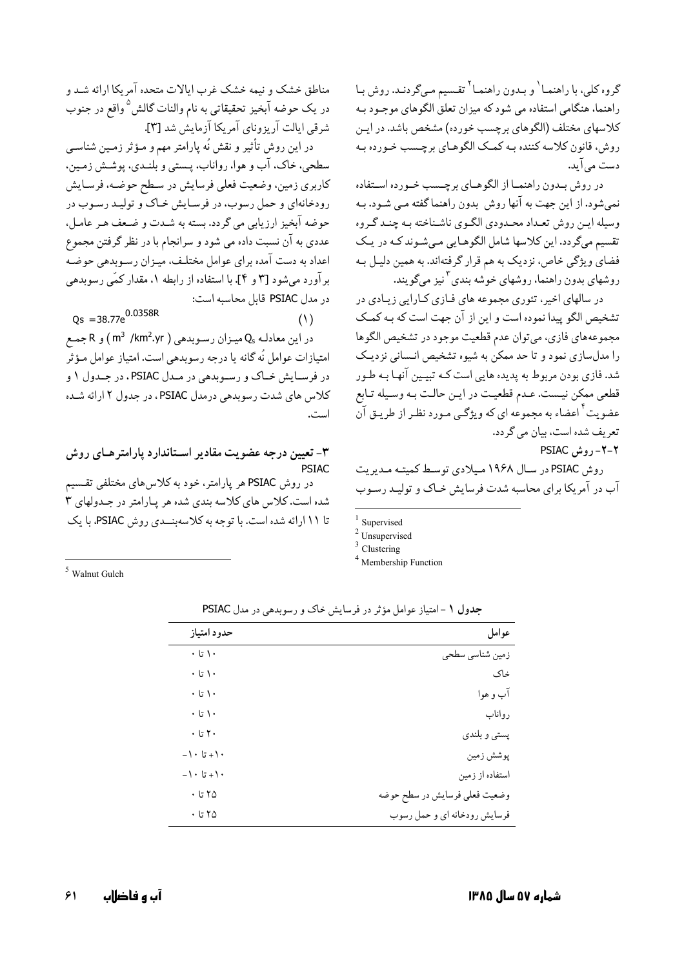گروه کلی، با راهنمـا<sup>\</sup> و بـدون راهنمـا<sup>۲</sup> تقـسیم مـیگردنـد. روش بـا راهنما، هنگامی استفاده می شود که میزان تعلق الگوهای موجـود بـه كلاسهاي مختلف (الگوهاي برچسب خورده) مشخص باشد. در ايـن روش، قانون کلاسه کننده بـه کمـک الگوهـای برچـسب خـورده بـه دست مے آید.

در روش بـدون راهنمـا از الگوهـاي برچـسب خـورده اسـتفاده نمی شود. از این جهت به آنها روش بدون راهنما گفته مـی شـود. بـه وسیله ایـن روش تعـداد محـدودي الگـوي ناشـناخته بـه چنـد گـروه تقسیم میگردد. این کلاسها شامل الگوهـایی مـیشـوند کـه در یـک فضای ویژگی خاص، نزدیک به هم قرار گرفتهاند. به همین دلیـل بـه روشهای بدون راهنما، روشهای خوشه بندی <sup>۳</sup>نیز میگویند.

در سالهای اخیر، تئوری مجموعه های فـازی کـارایی زیـادی در تشخيص الگو پيدا نموده است و اين از آن جهت است كه بـه كمـك مجموعههای فازی، میتوان عدم قطعیت موجود در تشخیص الگوها را مدلسازی نمود و تا حد ممکن به شیوه تشخیص انـسانی نزدیـک شد. فازی بودن مربوط به پدیده هایی است کـه تبیـین آنهـا بـه طـور قطعی ممکن نیست. عـدم قطعیـت در ایـن حالـت بـه وسـیله تـابع عضویت<sup>۴</sup> اعضاء به مجموعه ای که ویژگ<sub>ی</sub> مـورد نظـر از طریـق آن تعريف شده است، بيان مي گردد.

PSIAC , وش PSIAC

روش PSIAC در سال ۱۹۶۸ میلادی توسط کمیته مدیریت آب در آمریکا برای محاسبه شدت فرسایش خیاک و تولید رسوب

 $1$  Supervised

 $3$  Clustering

<sup>4</sup> Membership Function

مناطق خشک و نیمه خشک غرب ایالات متحده آمریکا ارائه شـد و در یک حوضه آبخیز تحقیقاتی به نام والنات گالش<sup>0</sup> واقع در جنوب شرقی ایالت آریزونای آمریکا آزمایش شد [۳].

در این روش تأثیر و نقش نُه پارامتر مهم و مـؤثر زمـین شناسـی سطحي، خاک، آب و هوا، رواناب، پـستبي و بلنـدي، پوشـش زمـين، كاربري زمين، وضعيت فعلى فرسايش در سطح حوضه، فرسايش رودخانهای و حمل رسوب، در فرسایش خاک و تولید رسوب در حوضه آبخیز ارزیابی می گردد. بسته به شـدت و ضـعف هـر عامـل، عددي به آن نسبت داده مي شود و سرانجام با در نظر گرفتن مجموع اعداد به دست آمده برای عوامل مختلف، میزان رسوبدهی حوضه برآورد میشود [۳ و ۴]. با استفاده از رابطه ۱، مقدار کمّی رسوبدهی در مدل PSIAC قابل محاسبه است:

 $Qs = 38.77e^{0.0358R}$ در این معادلـه Q<sub>s</sub> میـزان رسـوبدهی ( m<sup>3</sup> /km2.yr ) و R جمـع امتيازات عوامل نُه گانه يا درجه رسوبدهي است. امتياز عوامل مـؤثر در فرسـايش خـاک و رسـوبدهي در مـدل PSIAC ، در جـدول ١ و

است. ۳- تعیین درجه عضویت مقادیر اسـتاندارد پارامتر هــای روش

كلاس هاي شدت رسوبدهي درمدل PSIAC ، در جدول ٢ ارائه شده

**PSTAC** در روش PSIAC هر پارامتر، خود به کلاسهای مختلفی تقسیم شده است. کلاس های کلاسه بندی شده هر پارامتر در جندولهای ۳ تا ۱۱ ارائه شده است. با توجه به کلاسهبنــدي روش PSIAC، با یک

 $5$  Walnut Gulch

| عوامل                         | حدود امتياز          |
|-------------------------------|----------------------|
| زمین شناسی سطحی               | $\cdot$ ا تا $\cdot$ |
| خاک                           | $\cdot$ ' تا $\cdot$ |
| آب و هوا                      | $\cdot$ ' تا $\cdot$ |
| رواناب                        | $\cdot$ ا تا $\cdot$ |
| پستي و بلندي                  | $\cdot$ ۲ تا $\cdot$ |
| پوشش زمين                     | $-1 \cdot 5 + 1$     |
| استفاده از زمین               | $-1 \cdot 5 + 1$     |
| وضعیت فعلی فرسایش در سطح حوضه | $\cdot$ تا $\circ$   |
| فرسایش رودخانه ای و حمل رسوب  | ٢۵ تا ٠              |

جدول ۱ -امتیاز عوامل مؤثر در فرسایش خاک و رسوبدهی در مدل PSIAC

 $(1)$ 

 $2$  Unsupervised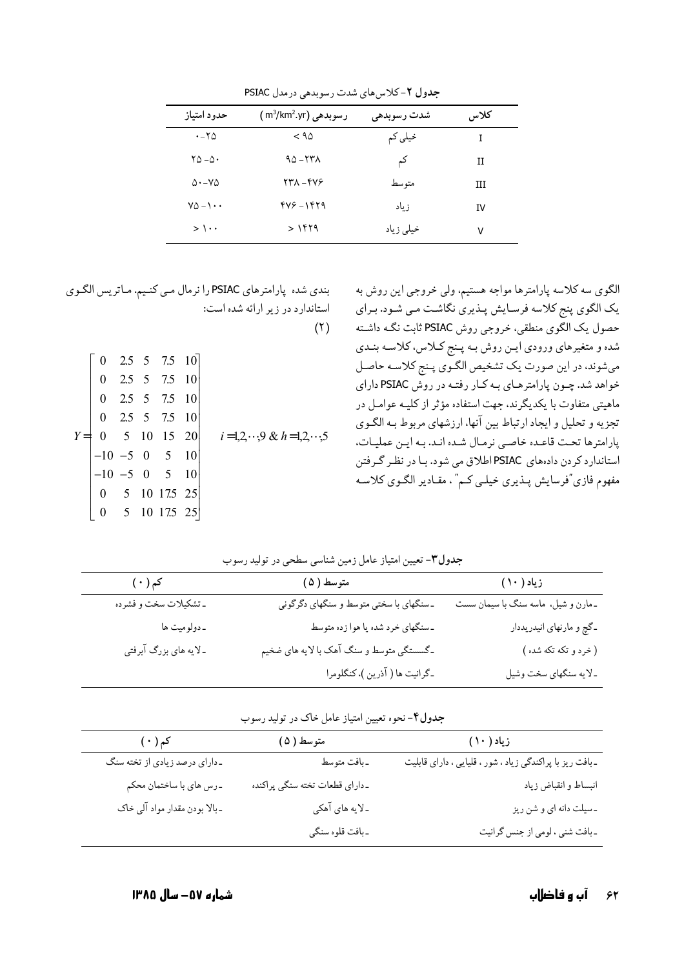| حدود امتياز                     | ر سوبدهی (m3/km2.yr) | شدت رسوبدهی | كلاس |
|---------------------------------|----------------------|-------------|------|
| $\cdot$ - $\tau$ $\Delta$       | $<$ 9 $\triangle$    | خیلی کم     | T    |
| $\mathsf{Y}\Delta-\Delta\cdot$  | $90 - 57$            | کم          | Н    |
| $\Delta$ . - $\vee$ $\Delta$    | 277 - 474            | متو سط      | Ш    |
| $Y\Delta - \lambda \cdot \cdot$ | 479-1479             | ز باد       | IV   |
| $>$ \ $\cdot$ .                 | > ۱۴۲۹               | خیلی زیاد   | ٧    |

جدول ۲-کلاس های شدت رسوبدهی درمدل PSIAC

بندی شده پارامترهای PSIAC را نرمال می کنیم. ماتریس الگوی استاندارد در زیر ارائه شده است:

 $(1)$ 

| $Y = \begin{bmatrix} 0 & 2.5 & 5 & 7.5 & 10 \\ 0 & 2.5 & 5 & 7.5 & 10 \\ 0 & 2.5 & 5 & 7.5 & 10 \\ 0 & 2.5 & 5 & 7.5 & 10 \\ 0 & 5 & 10 & 15 & 20 \\ -10 & -5 & 0 & 5 & 10 \\ -10 & -5 & 0 & 5 & 10 \\ 0 & 5 & 10 & 175 & 25 \\ 0 & 0 & 5 & 10 & 175 & 25 \end{bmatrix}$ |
|--------------------------------------------------------------------------------------------------------------------------------------------------------------------------------------------------------------------------------------------------------------------------|
|                                                                                                                                                                                                                                                                          |
|                                                                                                                                                                                                                                                                          |
|                                                                                                                                                                                                                                                                          |
|                                                                                                                                                                                                                                                                          |
|                                                                                                                                                                                                                                                                          |
|                                                                                                                                                                                                                                                                          |
|                                                                                                                                                                                                                                                                          |

| الگوی سه کلاسه پارامترها مواجه هستیم، ولی خروجی این روش به        |
|-------------------------------------------------------------------|
| یک الگوی پنج کلاسه فرسـایش پـذیری نگاشـت مـي شـود. بـراي          |
| حصول یک الگوی منطقی، خروجی روش PSIAC ثابت نگـه داشـته             |
| شده و متغیرهای ورودی ایـن روش بـه پـنج کــلاس، کلاسـه بنـدی       |
| میشوند، در این صورت یک تشخیص الگوی پـنج کلاسـه حاصـل              |
| خواهد شد. چـون پارامترهـاي بـه كـار رفتـه در روش PSIAC داراي      |
| ماهیتی متفاوت با یکدیگرند. جهت استفاده مؤثر از کلیــه عوامــل در  |
| تجزیه و تحلیل و ایجاد ارتباط بین آنها، ارزشهای مربوط بـه الگـوی   |
| پارامترها تحت قاعـده خاصـي نرمـال شـده انـد. بـه ايـن عمليـات،    |
| استاندارد کردن دادههای PSIACاطلاق می شود. بـا در نظـر گـرفتن      |
| مفهوم فازي"فرسايش پــذيري خيلــي كــم" ، مقــادير الگــوي كلاســه |
|                                                                   |

| جدول۳- تعیین امتیاز عامل زمین شناسی سطحی در تولید رسوب |  |  |  |  |  |  |
|--------------------------------------------------------|--|--|--|--|--|--|
|--------------------------------------------------------|--|--|--|--|--|--|

| $(\,\cdot\,)$ کم      | متوسط ( ۵ )                              | زیاد ( ۱۰ )                         |
|-----------------------|------------------------------------------|-------------------------------------|
| ـ تشكيلات سخت و فشرده | ـ سنگهاي با سختي متوسط و سنگهاي دگرگوني  | ـ مارن و شیل، ماسه سنگ با سیمان سست |
| ۔دولومیت ها           | ـ سنگهاي خرد شده يا هوا زده متوسط        | _گچ و مارنهای انیدریددار            |
| ـلايه هاي بزرگ آبرفتي | ـگسستگی متوسط و سنگ آهک با لایه های ضخیم | ( خرد و تکه تکه شده )               |
|                       | _گرانيت ها ( آذرين )، كنگلومرا           | ـ لایه سنگهای سخت وشیل              |

**جدول۴**- نحوه تعیین امتیاز عامل خاک در تولید رسوب

| $(\,\cdot\,)$ کم               | متوسط ( ۵ )                    | زیاد ( ۱۰ )                                              |  |
|--------------------------------|--------------------------------|----------------------------------------------------------|--|
| ـ داراي درصد زيادي از تخته سنگ | ۔بافت متوسط                    | -بافت ریز با پراکندگی زیاد ، شور ، قلیایی ، دارای قابلیت |  |
| ـرس هاي با ساختمان محكم        | دداراي قطعات تخته سنگي پراكنده | انبساط و انقباض زياد                                     |  |
| ـ بالا بودن مقدار مواد آلي خاک | ـ لایه های آهکی                | ـ سیلت دانه ای و شن ریز                                  |  |
|                                | ـ بافت قلوه سنگي               | ـ بافت شني ، لومي از جنس گرانيت                          |  |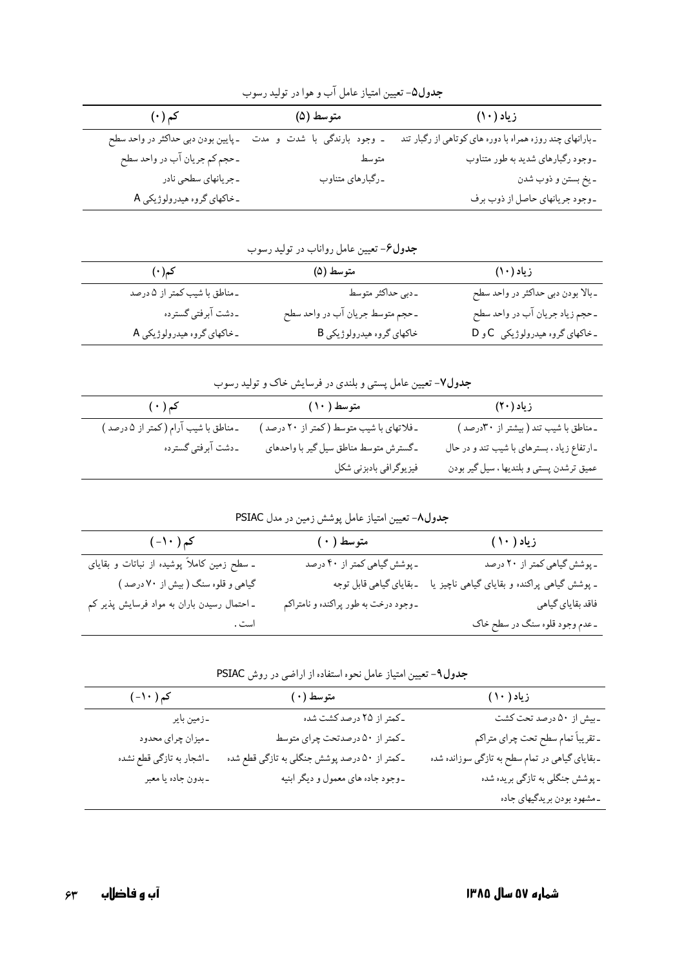| جدول۵- تعیین امتیاز عامل آب و هوا در تولید رسوب |                             |                                                           |  |
|-------------------------------------------------|-----------------------------|-----------------------------------------------------------|--|
| <b>کم (۰)</b>                                   | متوسط (۵)                   | زیاد (۱۰)                                                 |  |
| ـ پايين بودن دبي حداكثر در واحد سطح             | ـ وجود بارندگی با شدت و مدت | ـ بارانهاي چند روزه همراه با دوره هاي كوتاهي از رگبار تند |  |
| ـ حجم كم جريان آب در واحد سطح                   | متوسط                       | -وجود رگبارهای شدید به طور متناوب                         |  |
| -جريانهاي سطحي نادر                             | ۔رگبارهای متناوب            | ـ يخ بستن و ذوب شدن                                       |  |
| ـ خاکهای گروه هیدرولوژیکی A                     |                             | -وجود جريانهاي حاصل از ذوب برف                            |  |

| جدول۶- تعیین عامل رواناب در تولید رسوب |                                  |                                    |
|----------------------------------------|----------------------------------|------------------------------------|
| کم(۰)                                  | متوسط (۵)                        | زیاد (۱۰)                          |
| ـ مناطق با شيب كمتر از ۵ درصد          | ۔دبی حداکثر متوسط                | ـ بالا بودن دبي حداكثر در واحد سطح |
| ۔دشت آبرفتی گسترده                     | ـ حجم متوسط جريان آب در واحد سطح | ـ حجم زياد جريان آب در واحد سطح    |
| ـ خاکهای گروه هیدرولوژیکی A            | خاکهای گروه هیدرولوژیکی B        | ـ خاکهای گروه هیدرولوژیکی C و D    |

|  | <b>جدول۷</b> - تعیین عامل پستی و بلندی در فرسایش خاک و تولید رسوب |
|--|-------------------------------------------------------------------|
|  |                                                                   |

| کم ( ۰ )                              | متوسط ( ۱۰)                               | زیاد (۲۰)                                   |
|---------------------------------------|-------------------------------------------|---------------------------------------------|
| ـ مناطق با شیب آرام (کمتر از ۵ درصد ) | ـ فلاتهاى با شيب متوسط (كمتر از ٢٠ درصد ) | -مناطق با شیب تند ( بیشتر از ۳۰درصد )       |
| ددشت آبرفتي گسترده                    | ـ گسترش متوسط مناطق سیل گیر با واحدهای    | ـ ارتفاع زیاد ، بسترهای با شیب تند و در حال |
|                                       | فیزیوگرافی بادبزنی شکل                    | عميق ترشدن پستي و بلنديها ، سيل گير بودن    |

|  |  | <b>جدول٨-</b> تعیین امتیاز عامل پوشش زمین در مدل PSIAC |  |
|--|--|--------------------------------------------------------|--|
|  |  |                                                        |  |

| کم ( ۱۰ – )                                 | متوسط ( ۰ )                           | زیاد ( ۱۰ )                                  |
|---------------------------------------------|---------------------------------------|----------------------------------------------|
| ـ سطح زمین کاملاً پوشیده از نباتات و بقایای | ـ پوشش گیاهي كمتر از ۴۰ درصد          | ـ پوشش گیاهی کمتر از ۲۰ درصد                 |
| گیاهی و قلوه سنگ (بیش از ۷۰ درصد )          | ـ بقاياي گياهي قابل توجه              | ـ پوشش گیاهی پراکنده و بقایای گیاهی ناچیز یا |
| ـ احتمال رسیدن باران به مواد فرسایش پذیر کم | ـ وجود درخت به طور پراکنده و نامتراکم | فاقد بقاياي گياهي                            |
| است .                                       |                                       | ـ عدم وجود قلوه سنگ در سطح خاک               |

| جدول۹- تعیین امتیاز عامل نحوه استفاده از اراضی در روش PSIAC |  |  |  |  |
|-------------------------------------------------------------|--|--|--|--|
|-------------------------------------------------------------|--|--|--|--|

| کم ( ۱۰ - )               | متوسط (٠)                                     | زیاد ( ۱۰ )                                    |
|---------------------------|-----------------------------------------------|------------------------------------------------|
| ۔زمین بایر                | ـ كمتر از ٢۵ درصد كشت شده                     | ـ بيش از ۵۰ درصد تحت كشت                       |
| ۔میزان چرای محدود         | ـ کمتر از ۵۰ درصدتحت چرای متوسط               | ـ تقريباً تمام سطح تحت چراي متراكم             |
| ـ اشجار به تازگي قطع نشده | ـ کمتر از ۵۰ درصد پوشش جنگلی به تازگی قطع شده | -بقایای گیاهی در تمام سطح به تازگی سوزانده شده |
| ۔بدون جادہ یا معبر        | ـ وجود جاده هاي معمول و ديگر ابنيه            | ـ پوشش جنگلي به تازگي بريده شده                |
|                           |                                               | ـمشهود بودن بريدگيهاي جاده                     |
|                           |                                               |                                                |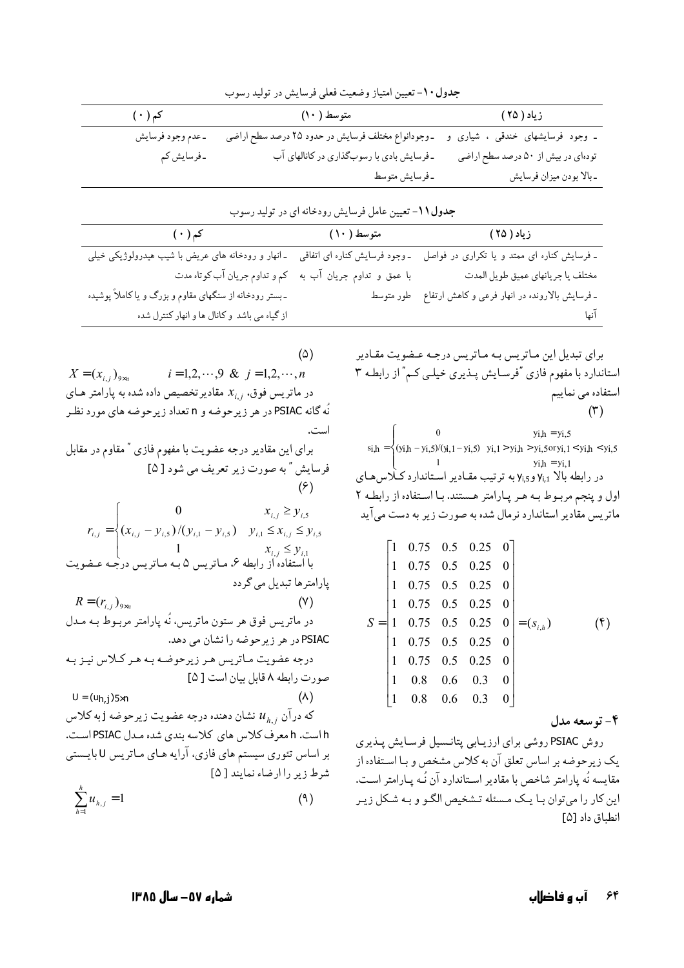|                              |                                                                                                                                                                                                                                                                                                                                                                                                                                                                           | جدول ۱۰- تعیین امتیاز وضعیت فعلی فرسایش در تولید رسوب                           |                                                                                                                                                                                                                                                                       |                                                                                                                                                                                                                                                         |                                    |                   |
|------------------------------|---------------------------------------------------------------------------------------------------------------------------------------------------------------------------------------------------------------------------------------------------------------------------------------------------------------------------------------------------------------------------------------------------------------------------------------------------------------------------|---------------------------------------------------------------------------------|-----------------------------------------------------------------------------------------------------------------------------------------------------------------------------------------------------------------------------------------------------------------------|---------------------------------------------------------------------------------------------------------------------------------------------------------------------------------------------------------------------------------------------------------|------------------------------------|-------------------|
|                              |                                                                                                                                                                                                                                                                                                                                                                                                                                                                           | متوسط (۱۰) متحسن کم (۱۰) متح                                                    |                                                                                                                                                                                                                                                                       |                                                                                                                                                                                                                                                         | زياد ( ۲۵ )                        |                   |
|                              | _عدم وجود فرسايش                                                                                                                                                                                                                                                                                                                                                                                                                                                          |                                                                                 |                                                                                                                                                                                                                                                                       | ـ وجود  فرسایشهای  خندقی  ،  شیاری  و    ـوجودانواع مختلف فرسایش در حدود ۲۵ درصد سطح اراضی                                                                                                                                                              |                                    |                   |
|                              | ۔فرسایش کم                                                                                                                                                                                                                                                                                                                                                                                                                                                                |                                                                                 | -فرسایش بادی با رسوبگذاری در کانالهای آب                                                                                                                                                                                                                              |                                                                                                                                                                                                                                                         | تودهای در بیش از ۵۰ درصد سطح اراضی |                   |
|                              |                                                                                                                                                                                                                                                                                                                                                                                                                                                                           |                                                                                 | ـ فرسايش متوسط                                                                                                                                                                                                                                                        |                                                                                                                                                                                                                                                         | ـ بالا بودن ميزان فرسايش           |                   |
|                              |                                                                                                                                                                                                                                                                                                                                                                                                                                                                           | جدول ۱۱- تعیین عامل فرسایش رودخانه ای در تولید رسوب                             |                                                                                                                                                                                                                                                                       |                                                                                                                                                                                                                                                         |                                    |                   |
|                              | <b>کم ( ۰ )</b>                                                                                                                                                                                                                                                                                                                                                                                                                                                           | زیاد ( ۲۵ ) کستوسط ( ۱۰ ) متوسط ( ۱۰ )                                          |                                                                                                                                                                                                                                                                       |                                                                                                                                                                                                                                                         |                                    |                   |
|                              | ـ فرسایش کناره ای ممتد و یا تکراری در فواصل   ـ وجود فرسایش کناره ای اتفاقی   ـ انهار و رودخانه های عریض با شیب هیدرولوژیکی خیلی                                                                                                                                                                                                                                                                                                                                          |                                                                                 |                                                                                                                                                                                                                                                                       |                                                                                                                                                                                                                                                         |                                    |                   |
|                              | کم و تداوم جریان آب کوتاه مدت                                                                                                                                                                                                                                                                                                                                                                                                                                             |                                                                                 | با عمق و تداوم جریان آب به                                                                                                                                                                                                                                            |                                                                                                                                                                                                                                                         | مختلف يا جريانهاي عميق طويل المدت  |                   |
|                              | ـ بستر رودخانه از سنگهای مقاوم و بزرگ و یا کاملاً پوشیده                                                                                                                                                                                                                                                                                                                                                                                                                  |                                                                                 | ـ فرسایش بالارونده در انهار فرعی و کاهش ارتفاع ۃ طور متوسط                                                                                                                                                                                                            |                                                                                                                                                                                                                                                         |                                    |                   |
|                              | از گیاه می باشد و کانال ها و انهار کنترل شده                                                                                                                                                                                                                                                                                                                                                                                                                              |                                                                                 |                                                                                                                                                                                                                                                                       |                                                                                                                                                                                                                                                         |                                    |                   |
|                              | $X = (x_{i,j})_{9 \times n}$ $i = 1, 2, \cdots, 9 \& j = 1, 2, \cdots, n$<br>در ماتریس فوق، $x_{i,j}$ مقادیرتخصیص داده شده به پارامتر هـای<br>نّه گانه PSIAC در هر زیرحوضه و n تعداد زیرحوضه های مورد نظـر<br>برای این مقادیر درجه عضویت با مفهوم فازی " مقاوم در مقابل<br>0 $x_{i,j} \ge y_{i,5}$<br>$r_{i,j} = \left( (x_{i,j} - y_{i,5}) / (y_{i,1} - y_{i,5}) \right)$ $y_{i,1} \le x_{i,j} \le y_{i,5}$<br>با استفاده از رابطه ۶، مـاتریس ۵ بـه مـاتریس درجـه عـضویت | فرسایش " به صورت زیر تعریف می شود [ ۵]<br>$(\hat{z})$<br>$x_{i,j} \leq y_{i,1}$ | استاندارد با مفهوم فازی "فرسـایش پـذیری خیلـی کـم" از رابطـه ۳<br>در رابطه بالا Vi,1 وVi,5 به ترتیب مقـادیر اسـتاندارد کـلاس۱صای<br>اول و پنجم مربـوط بـه هـر پـارامتر هـستند. بـا اسـتفاده از رابطـه ۲<br>ماتریس مقادیر استاندارد نرمال شده به صورت زیر به دست میآید | $\int_0^1 0$ yi,h = yi,5<br>$si_{\mu} = \{(yi_{\mu} - yi_{\mu}, 5)/(yi_{\mu}, 1 - yi_{\mu}, 5) \}$ $yi_{\mu} > yi_{\mu}, 5$ $y_{\mu}, 1 < yi_{\mu}, 5$ $y_{\mu}, 5$<br>$\begin{bmatrix} 1 & 0.75 & 0.5 & 0.25 & 0 \end{bmatrix}$<br>$1$ 0.75 0.5 0.25 0 | $yi,h = yi,1$                      | استفاده می نماییم |
|                              |                                                                                                                                                                                                                                                                                                                                                                                                                                                                           | پارامترها تبدیل می گردد                                                         |                                                                                                                                                                                                                                                                       | $1$ 0.75 0.5 0.25 0                                                                                                                                                                                                                                     |                                    |                   |
| $R = (r_{i,i})_{9 \times n}$ |                                                                                                                                                                                                                                                                                                                                                                                                                                                                           | (Y)                                                                             |                                                                                                                                                                                                                                                                       | $1$ 0.75 0.5 0.25 0                                                                                                                                                                                                                                     |                                    |                   |
|                              | در ماتریس فوق هر ستون ماتریس، نَه پارامتر مربـوط بـه مـدل                                                                                                                                                                                                                                                                                                                                                                                                                 |                                                                                 |                                                                                                                                                                                                                                                                       | $S = \begin{vmatrix} 1 & 0.75 & 0.5 & 0.25 & 0 \end{vmatrix}$                                                                                                                                                                                           | $=(S_{i,h})$                       | $($ f $)$         |
|                              | درجه عضویت مـاتریس هـر زیرحوضـه بـه هـر کــلاس نیـز بـه                                                                                                                                                                                                                                                                                                                                                                                                                   | PSIAC در هر زير حوضه را نشان مي دهد.                                            |                                                                                                                                                                                                                                                                       | $1$ 0.75 0.5 0.25 0<br>$1$ 0.75 0.5 0.25 0                                                                                                                                                                                                              |                                    |                   |
|                              |                                                                                                                                                                                                                                                                                                                                                                                                                                                                           | صورت رابطه ٨ قابل بيان است [ ۵]                                                 | $\mathbf{1}$                                                                                                                                                                                                                                                          | $0.8\quad 0.6$<br>0.3                                                                                                                                                                                                                                   | $\boldsymbol{0}$                   |                   |
| $U = (uh, j)5 \times n$      |                                                                                                                                                                                                                                                                                                                                                                                                                                                                           | $(\wedge)$                                                                      | $\vert$ 1                                                                                                                                                                                                                                                             | $0.8$ 0.6 0.3                                                                                                                                                                                                                                           | $\mathbf{0}$                       |                   |
|                              | که در آن $u_{h,j}$ نشان دهنده درجه عضویت زیرحوضه j به کلاس                                                                                                                                                                                                                                                                                                                                                                                                                |                                                                                 |                                                                                                                                                                                                                                                                       |                                                                                                                                                                                                                                                         |                                    |                   |
|                              | h است. h معرف كلاس هاي كلاسه بندي شده مـدل PSIAC اسـت.                                                                                                                                                                                                                                                                                                                                                                                                                    |                                                                                 | روش PSIAC روشی برای ارزیـابی پتانـسیل فرسـایش پـذیری                                                                                                                                                                                                                  |                                                                                                                                                                                                                                                         |                                    | ۴- توسعه مدل      |
|                              | بر اساس تئوری سیستم های فازی، آرایه هـای مـاتریس U بایـستی                                                                                                                                                                                                                                                                                                                                                                                                                |                                                                                 | یک زیرحوضه بر اساس تعلق آن به کلاس مشخص و بـا اسـتفاده از                                                                                                                                                                                                             |                                                                                                                                                                                                                                                         |                                    |                   |
|                              |                                                                                                                                                                                                                                                                                                                                                                                                                                                                           | شرط زير را ارضاء نمايند [ ۵]                                                    | مقايسه نَه يارامتر شاخص با مقادير اسـتاندارد آن نَـه يـارامتر اسـت.                                                                                                                                                                                                   |                                                                                                                                                                                                                                                         |                                    |                   |
| $\sum_{h=1}^h u_{h,j} = 1$   |                                                                                                                                                                                                                                                                                                                                                                                                                                                                           | (9)                                                                             | این کار را میتوان بـا یـک مـسئله تـشخیص الگـو و بـه شـکل زیـر                                                                                                                                                                                                         |                                                                                                                                                                                                                                                         |                                    | انطباق داد [۵]    |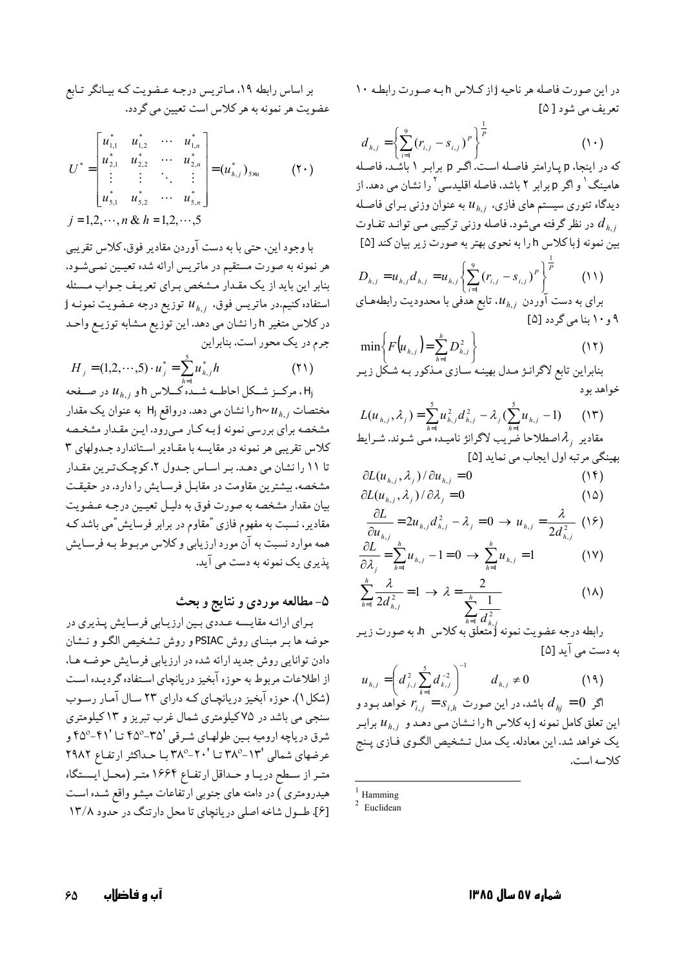در این صورت فاصله هر ناحیه j از کلاس h به صورت رابطه ١٠ تعریف می شود [ ۵]

$$
d_{h,j} = \left\{ \sum_{i=1}^{9} (r_{i,j} - s_{i,j})^P \right\}^{\frac{1}{P}}
$$
\n
$$
\text{for } 1 \text{ and } 1 \text{ and } 1 \text{ and } 1 \text{ and } 1 \text{ and } 1 \text{ and } 1 \text{ and } 1 \text{ and } 1 \text{ and } 1 \text{ and } 1 \text{ and } 1 \text{ and } 1 \text{ and } 1 \text{ and } 1 \text{ and } 1 \text{ and } 1 \text{ and } 1 \text{ and } 1 \text{ and } 1 \text{ and } 1 \text{ and } 1 \text{ and } 1 \text{ and } 1 \text{ and } 1 \text{ and } 1 \text{ and } 1 \text{ and } 1 \text{ and } 1 \text{ and } 1 \text{ and } 1 \text{ and } 1 \text{ and } 1 \text{ and } 1 \text{ and } 1 \text{ and } 1 \text{ and } 1 \text{ and } 1 \text{ and } 1 \text{ and } 1 \text{ and } 1 \text{ and } 1 \text{ and } 1 \text{ and } 1 \text{ and } 1 \text{ and } 1 \text{ and } 1 \text{ and } 1 \text{ and } 1 \text{ and } 1 \text{ and } 1 \text{ and } 1 \text{ and } 1 \text{ and } 1 \text{ and } 1 \text{ and } 1 \text{ and } 1 \text{ and } 1 \text{ and } 1 \text{ and } 1 \text{ and } 1 \text{ and } 1 \text{ and } 1 \text{ and } 1 \text{ and } 1 \text{ and } 1 \text{ and } 1 \text{ and } 1 \text{ and } 1 \text{ and } 1 \text{ and } 1 \text{ and } 1 \text{ and } 1 \text{ and } 1 \text{ and } 1 \text{ and } 1 \text{ and } 1 \text{ and } 1 \text{ and } 1 \text{ and } 1 \text{ and } 1 \text{ and } 1 \text{ and } 1 \text{ and } 1 \text{ and } 1 \text{ and } 1 \text{ and } 1 \text{ and } 1 \text{ and } 1 \text{ and } 1 \text{ and } 1 \text{ and } 1 \text{ and } 1 \text{ and } 1 \text{ and } 1 \text{ and } 1 \text{ and } 1 \text{ and } 1 \text{ and } 1 \text{ and } 1 \text{ and }
$$

هامینگ<sup>۱</sup> و اگر p برابر ۲ باشد، فاصله اقلیدسی<sup>۲</sup> را نشان می دهد. از دیدگاه تئوری سیستم های فازی،  $u_{h.i}$  به عنوان وزنی بـرای فاصـله در نظر گرفته میشود. فاصله وزنی ترکیبی مـی توانـد تفـاوت  $d_{h.i}$ بین نمونه j با کلاس h را به نحوی بهتر به صورت زیر بیان کند [۵]

$$
D_{h,j} = u_{h,j} d_{h,j} = u_{h,j} \left\{ \sum_{i=1}^{9} (r_{i,j} - s_{i,j})^P \right\}^{\frac{1}{P}} \qquad (11)
$$
  
g\_{h,j} = u\_{h,j} d\_{h,j} = u\_{h,j} u\_{h,j} = u\_{h,j} \text{ and } u\_{h,j} = u\_{h,j} \text{ and } u\_{h,j} = u\_{h,j} \text{ and } u\_{h,j} = u\_{h,j} \text{ and } u\_{h,j} = u\_{h,j} \text{ and } u\_{h,j} = u\_{h,j} \text{ and } u\_{h,j} = u\_{h,j} \text{ and } u\_{h,j} = u\_{h,j} \text{ and } u\_{h,j} = u\_{h,j} \text{ and } u\_{h,j} = u\_{h,j} \text{ and } u\_{h,j} = u\_{h,j} \text{ and } u\_{h,j} = u\_{h,j} \text{ and } u\_{h,j} = u\_{h,j} \text{ and } u\_{h,j} = u\_{h,j} \text{ and } u\_{h,j} = u\_{h,j} \text{ and } u\_{h,j} = u\_{h,j} \text{ and } u\_{h,j} = u\_{h,j} \text{ and } u\_{h,j} = u\_{h,j} \text{ and } u\_{h,j} = u\_{h,j} \text{ and } u\_{h,j} = u\_{h,j} \text{ and } u\_{h,j} = u\_{h,j} \text{ and } u\_{h,j} = u\_{h,j} \text{ and } u\_{h,j} = u\_{h,j} \text{ and } u\_{h,j} = u\_{h,j} \text{ and } u\_{h,j} = u\_{h,j} \text{ and } u\_{h,j} = u\_{h,j} \text{ and } u\_{h,j} = u\_{h,j} \text{ and } u\_{h,j} = u\_{h,j} \text{ and } u\_{h,j} = u\_{h,j} \text{ and } u\_{h,j} = u\_{h,j} \text{ and } u\_{h,j} = u\_{h,j} \text{ and } u\_{h,j} = u\_{h,j} \text{ and } u\_{h,j} = u\_{h,j} \text{ and } u\_{h,j} = u\_{h,j} \text{ and } u\_{h,j} = u\_{h,j} \text{ and } u\_{h,j} = u\_{h,j} \text{ and } u\_{h,j} = u\_{h,j} \text{ and } u\_{h,j} = u\_{h,j} \text{ and } u\_{h,j} = u\_{h,j} \text{ and } u\_{h,j} = u\_{h,j} \text{ and } u\_{h,j} = u\_{h,j} \text{ and } u\_{h,j} = u\_{

$$
\min\left\{F\left(u_{h,j}\right)=\sum_{h=1}^{h}D_{h,j}^{2}\right\}
$$
\n(17)

بنابراین تابع لاگرانـژ مـدل بهینـه سـازی مـذکور بـه شـکل زیـر خواهد بو د

$$
L(u_{h,j}, \lambda_j) = \sum_{h=1}^{5} u_{h,j}^2 d_{h,j}^2 - \lambda_j (\sum_{h=1}^{5} u_{h,j} - 1)
$$
 (17)  
مقاریر <sub>i</sub>  $\lambda$  اصطلاحا ضریب لاگرانژ نامیده می شوند. شرایط  
بھینگی مرتبه اول ایجاب می نماید [۵]

$$
\frac{\partial L(u_{h,j}, \lambda_j)}{\partial L(u_{h,j}, \lambda_i)/\partial \lambda_i} = 0 \tag{16}
$$

$$
\frac{\partial L}{\partial u_{h,j}} = 2u_{h,j}d_{h,j}^2 - \lambda_j = 0 \rightarrow u_{h,j} = \frac{\lambda}{2d_{h,j}^2} \quad (15)
$$
  

$$
\frac{\partial L}{\partial u_{h,j}} = \sum_{k=1}^{h} u_{h,j} = 1 - 0 \rightarrow \sum_{k=1}^{h} u_{h,j} = 1 \quad (15)
$$

$$
\frac{\partial \lambda_j}{\partial \lambda_j} = \sum_{h=1}^{\infty} u_{h,j} - 1 = 0 \implies \sum_{h=1}^{\infty} u_{h,j} = 1 \tag{1V}
$$

$$
\sum_{h=1}^{\infty} \frac{\lambda}{2d_{h,j}^2} = 1 \to \lambda = \frac{\lambda}{\sum_{i=1}^{h} \frac{1}{d^2}}
$$
 (1A)

به دست می آید [۵]

$$
u_{h,j} = \left(d_{j,j}^{2} \sum_{k=1}^{5} d_{k,j}^{-2}\right)^{-1} \quad d_{h,j} \neq 0 \tag{14}
$$
\n
$$
\beta = \sum_{k=1}^{5} r_{i,j} = s_{i,h} \Rightarrow \beta = \sum_{k=1}^{5} d_{k,j} \neq 0
$$
\n
$$
u_{h,j} = 0 \Rightarrow \beta = \sum_{k=1}^{5} u_{h,j} \Rightarrow u_{h,j} = 0 \Rightarrow u_{h,j} = u_{h,j} \Rightarrow u_{h,j} = u_{h,j} \Rightarrow u_{h,j} = u_{h,j} \Rightarrow u_{h,j} = u_{h,j} \Rightarrow u_{h,j} = u_{h,j} \Rightarrow u_{h,j} = u_{h,j} \Rightarrow u_{h,j} = u_{h,j} \Rightarrow u_{h,j} = u_{h,j} \Rightarrow u_{h,j} = u_{h,j} \Rightarrow u_{h,j} = u_{h,j} \Rightarrow u_{h,j} = u_{h,j} \Rightarrow u_{h,j} = u_{h,j} \Rightarrow u_{h,j} = u_{h,j} \Rightarrow u_{h,j} = u_{h,j} \Rightarrow u_{h,j} = u_{h,j} \Rightarrow u_{h,j} = u_{h,j} \Rightarrow u_{h,j} = u_{h,j} \Rightarrow u_{h,j} = u_{h,j} \Rightarrow u_{h,j} = u_{h,j} \Rightarrow u_{h,j} = u_{h,j} \Rightarrow u_{h,j} = u_{h,j} \Rightarrow u_{h,j} = u_{h,j} \Rightarrow u_{h,j} = u_{h,j} \Rightarrow u_{h,j} = u_{h,j} \Rightarrow u_{h,j} = u_{h,j} \Rightarrow u_{h,j} = u_{h,j} \Rightarrow u_{h,j} = u_{h,j} \Rightarrow u_{h,j} = u_{h,j} \Rightarrow u_{h,j} = u_{h,j} \Rightarrow u_{h,j} = u_{h,j} \Rightarrow u_{h,j} = u_{h,j} \Rightarrow u_{h,j} = u_{h,j} \Rightarrow u_{h,j} = u_{h,j} \Rightarrow u_{h,j} = u_{h,j} \Rightarrow u_{h,j} = u_{h,j} \Rightarrow u_{h,j} = u_{h,j} \Rightarrow u_{h,j} = u_{h,j} \Rightarrow u_{h,j} = u_{h,j} \Rightarrow u_{h,j} = u_{h,j} \Rightarrow u_{h,j} = u_{h,j} \Rightarrow u_{h,j} = u_{h,j} \Rightarrow u_{h,j} = u_{h,j} \Rightarrow u_{h,j} = u_{h,j} \Rightarrow u_{h,j} = u_{h,j} \Rightarrow u_{h,j} = u_{h,j} \Rightarrow u_{h,j} = u_{h,j
$$

بر اساس رابطه ۱۹، مـاتریس درجـه عـضویت کـه بیـانگر تـابع عضویت هر نمونه به هر کلاس است تعیین می گردد.

$$
U^* = \begin{bmatrix} u_{1,1}^* & u_{1,2}^* & \cdots & u_{1,n}^* \\ u_{2,1}^* & u_{2,2}^* & \cdots & u_{2,n}^* \\ \vdots & \vdots & \ddots & \vdots \\ u_{5,1}^* & u_{5,2}^* & \cdots & u_{5,n}^* \end{bmatrix} = (u_{h,j}^*)_{5\times n}
$$
 (Y $\cdot$ )  
 $j = 1, 2, \cdots, n$  &  $h = 1, 2, \cdots, 5$ 

با وجود اين، حتى با به دست آوردن مقادير فوق، كلاس تقريبي هر نمونه به صورت مستقیم در ماتریس ارائه شده تعیمین نمـیشـود. بنابر این باید از یک مقدار مشخص برای تعریـف جـواب مـسئله j استفاده کنیم.در ماتریس فوق،  $u_{h,j}$  توزیع درجه عـضویت نمونـه در کلاس متغیر h را نشان می دهد. این توزیع مشابه توزیـع واحـد جرم در یک محور است. بنابراین

$$
H_{j} = (1, 2, \cdots, 5) \cdot u_{j}^{*} = \sum_{h=1}^{5} u_{h,j}^{*} h
$$
 (1)

در صفحه  $u_{h,j}$  و  $h$  در صفحه شده کلاس h و  $u_{h,j}$ مختصات ، h~  $u_{h,i}$  را نشان می دهد. درواقع H به عنوان یک مقدار مشخصه برای بررسی نمونه j بـه کـار مـیرود. ایـن مقـدار مشخـصه کلاس تقریبی هر نمونه در مقایسه با مقـادیر اسـتاندارد جـدولهای ۳ تا ١١ را نشان مي دهـد. بـر اسـاس جـدول ٢، كوچـكتـرين مقـدار مشخصه، بیشترین مقاومت در مقابـل فرسـایش را دارد. در حقیقـت بيان مقدار مشخصه به صورت فوق به دليـل تعيـين درجـه عـضويت مقادیر، نسبت به مفهوم فازی "مقاوم در برابر فرسایش"می باشد ک همه موارد نسبت به آن مورد ارزيابي و كلاس مربـوط بـه فرسـايش پذیری یک نمونه به دست می آید.

## ۵- مطالعه موردي و نتايج و بحث

برای ارائه مقایسه عـددی بـین ارزیـابی فرسـایش پـذیری در حوضه ها بـر مبنـاي روش PSIAC و روش تـشخيص الكـو و نـشان دادن توانایی روش جدید ارائه شده در ارزیابی فرسایش حوضـه هـا، از اطلاعات مربوط به حوزه آبخیز دریانچای استفاده گردیـده اسـت (شکل ۱). حوزه آبخیز دریانچـای کـه دارای ۲۳ سـال آمـار رسـوب سنجيي مي باشد در ۷۵کيلومتري شمال غرب تبريز و ۱۳کيلومتري شرق دریاچه ارومیه بـین طولهـای شـرقی '۳۵-۴۵° تـا '۴۱-۴۵° و عرضهای شمالی '١٣-٣٨° تــا '٢٠-٣٨° بـا حـداكثر ارتفـاع ٢٩٨٢ متـر از سـطح دريـا و حـداقل ارتفـاع ۱۶۶۴ متـر (محـل ايــستگاه هیدرومتری ) در دامنه های جنوبی ارتفاعات میشو واقع شـده اسـت [۶]. طـول شاخه اصلی دریانچای تا محل دارتنگ در حدود ۱۳/۸

 $1$  Hamming

 $\frac{2}{2}$  Euclidean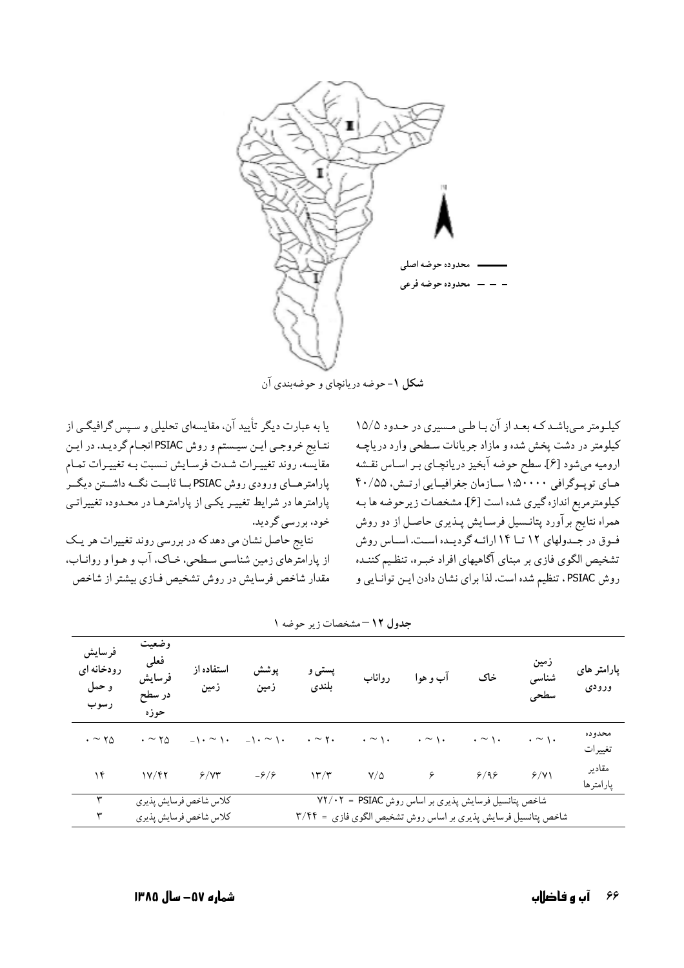

شکل ۱- حوضه دریانچای و حوضهبندی آن

یا به عبارت دیگر تأیید آن، مقایسهای تحلیلی و سیس گرافیگی از نتـايج خروجـي ايـن سيـستم و روش PSIAC انجـام گرديـد. در ايـن مقايسه، روند تغييـرات شـدت فرسـايش نـسبت بـه تغييـرات تمـام پارامترهـاي ورودي روش PSIAC بـا ثابـت نگـه داشـتن ديگـر پارامترها در شرایط تغییـر یکـی از پارامترهـا در محـدوده تغییراتـی خود، بررسی گردید.

نتایج حاصل نشان می دهدکه در بررسی روند تغییرات هر یک از پارامترهای زمین شناسبی سطحی، خـاک، آب و هـوا و روانـاب، مقدار شاخص فرسايش در روش تشخيص فـازي بيشتر از شاخص

کیلومتر مے باشد کبه بعد از آن بیا طبی مسیری در حیدود ۱۵/۵ کیلومتر در دشت پخش شده و مازاد جریانات سطحی وارد دریاچـه ارومیه میشود [۶]. سطح حوضه آبخیز دریانچـای بـر اسـاس نقـشه های توپوگرافی ۵۰۰۰۰: ۱ سازمان جغرافیایی ارتش، ۴۰/۵۵ كيلومترمربع اندازه گيري شده است [۶]. مشخصات زيرحوضه ها بـه همراه نتایج برآورد پتانـسیل فرسـایش پـذیری حاصـل از دو روش فوق در جهدولهای ١٢ تا ١۴ ارائه گرديده است. اساس روش تشخيص الگوى فازى بر مبناى آگاهيهاى افراد خبـره، تنظـيم كننـده روش PSIAC، تنظيم شده است. لذا براي نشان دادن ايـن توانـايي و

| فرسايش<br>رودخانه ای<br>و حمل<br>رسوب | وضعيت<br>فعلى<br>فرسايش<br>در سطح<br>حوزه | استفاده از<br>زمين     | پوشش<br>زمین                                    | پستی و<br>بلندى       | رواناب             | اب و هوا                                                      | خاک                | زمين<br>شناسى<br>سطحى | یارامتر های<br>ورودى |
|---------------------------------------|-------------------------------------------|------------------------|-------------------------------------------------|-----------------------|--------------------|---------------------------------------------------------------|--------------------|-----------------------|----------------------|
| $\cdot \sim \gamma_0$                 | $\cdot \sim \gamma_0$                     |                        | $-1 \cdot \sim 1 \cdot$ $-1 \cdot \sim 1 \cdot$ | $\cdot \sim \gamma$ . | $\cdot \sim \cdot$ | $\cdot \sim \wedge \cdot$                                     | $\cdot \sim \cdot$ | $\cdot \sim \cdot$    | محدوده<br>تغييرات    |
| ۱۴                                    | 1Y/FY                                     | 9/yr                   | $-9/9$                                          | 17/T                  | $Y/\Delta$         | $\epsilon$                                                    | 9/99               | 9/11                  | مقادير<br>پارامترها  |
| ۳                                     |                                           | كلاس شاخص فرسايش پذيري |                                                 |                       |                    | شاخص پتانسیل فرسایش پذیری بر اساس روش V۲/۰۲ = PSIAC           |                    |                       |                      |
|                                       |                                           | كلاس شاخص فرسايش پذيري |                                                 |                       |                    | شاخص پتانسیل فرسایش پذیری بر اساس روش تشخیص الگوی فازی = ۳/۴۴ |                    |                       |                      |

جدول ١٢- مشخصات زير جوضه ١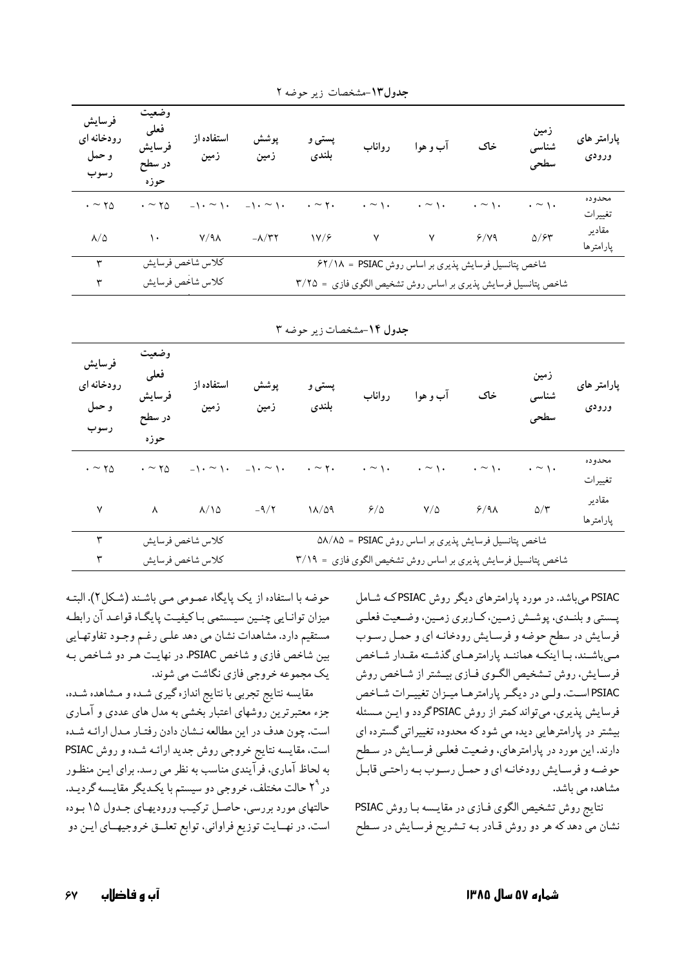| فرسايش<br>رودخانه ای<br>و حمل<br>رسوب | وضعيت<br>فعلى<br>فرسايش<br>در سطح<br>حوزه | استفاده از<br>زمين | پوشش<br>زمین                  | پستی و<br>بلندى           | رواناب                    | آب و هوا                                                      | خاک                | زمين<br>شناسی<br>سطحى   | پارامتر های<br>ورودى |
|---------------------------------------|-------------------------------------------|--------------------|-------------------------------|---------------------------|---------------------------|---------------------------------------------------------------|--------------------|-------------------------|----------------------|
| $\cdot \sim \gamma_0$                 | $\cdot \sim \gamma_0$                     | $-1 \cdot \sim 1$  | $-\lambda \cdot \sim \lambda$ | $\cdot \sim \mathsf{y}$ . | $\cdot \sim \wedge \cdot$ | $\cdot \sim \cdot$                                            | $\cdot \sim \cdot$ | $\cdot \sim \cdot$      | محدوده<br>تغييرات    |
| $\lambda/\Delta$                      | ١.                                        | $Y/9\lambda$       | $-\lambda/\tau\tau$           | 1Y/F                      | $\mathsf{Y}$              | $\mathsf{v}$                                                  | 9/19               | $\Delta$ / $\epsilon$ r | مقادير<br>پارامترها  |
| ٣                                     |                                           | كلاس شاخص فرسايش   |                               |                           |                           | شاخص پتانسیل فرسایش پذیری بر اساس روش P۲/۱۸ = PSIAC           |                    |                         |                      |
| ٣                                     |                                           | كلاس شاخص فرسايش   |                               |                           |                           | شاخص پتانسیل فرسایش پذیری بر اساس روش تشخیص الگوی فازی = ٣/٢۵ |                    |                         |                      |

جدول١٣-مشخصات زير حوضه ٢

|  |  |  | جدول ۱۴-مشخصات زیر حوضه ۳ |  |  |
|--|--|--|---------------------------|--|--|
|--|--|--|---------------------------|--|--|

| فرسايش<br>رودخانه ای<br>و حمل<br>رسوب | وضعيت<br>فعلى<br>فرسايش<br>در سطح<br>حوزه | استفاده از<br>زمين | پوشش<br>زمين                                                            | پستی و<br>بلندى | رواناب | آب و هوا                                                      | خاک                       | زمین<br>شناسی<br>سطحي | پارامتر های<br>ورودى |
|---------------------------------------|-------------------------------------------|--------------------|-------------------------------------------------------------------------|-----------------|--------|---------------------------------------------------------------|---------------------------|-----------------------|----------------------|
| $\cdot \sim \gamma_0$                 | $\cdot \sim \gamma_0$                     |                    | $-1 \cdot \sim 1$ . $-1 \cdot \sim 1$ . $\sim \gamma$ . $\sim \gamma$ . |                 |        | $\cdot \sim \cdot$                                            | $\cdot \sim \wedge \cdot$ | $\cdot \sim \cdot$    | محدوده<br>تغييرات    |
| $\mathsf{v}$                          | $\lambda$                                 | $\lambda/\lambda$  | $-9/7$                                                                  | 11/09           | 9/2    | $Y/\Delta$                                                    | $9/9\lambda$              | $\Delta/\Upsilon$     | مقادير<br>پارامترها  |
| ٣                                     |                                           | كلاس شاخص فرسايش   |                                                                         |                 |        | شاخص پتانسیل فرسایش پذیری بر اساس روش ۵۸/۸۵ = ۵۸/۸۵           |                           |                       |                      |
| ٣                                     |                                           | كلاس شاخص فرسايش   |                                                                         |                 |        | شاخص پتانسیل فرسایش پذیری بر اساس روش تشخیص الگوی فازی = ٣/١٩ |                           |                       |                      |

PSIAC میباشد. در مورد پارامترهای دیگر روش PSIACکه شامل پـستي و بلنـدي، پوشـش زمـين، كـاربري زمـين، وضـعيت فعلـي فرسایش در سطح حوضه و فرسایش رودخانـه ای و حمـل رسـوب میباشند، با اینکه هماننـد پارامترهـای گذشـته مقـدار شـاخص فرسایش، روش تـشخیص الگـوی فـازی بیـشتر از شـاخص روش PSIAC است. ولمي در ديگر پارامترهـا ميـزان تغييـرات شـاخص فرسایش پذیری، میتواند کمتر از روش PSIACگردد و ایـن مـسئله بیشتر در پارامترهایی دیده می شود که محدوده تغییراتی گسترده ای دارند. این مورد در پارامترهای، وضعیت فعلبی فرسایش در سطح حوضه و فرسایش رودخانـه ای و حمـل رسـوب بـه راحتـی قابـل مشاهده مے باشد.

نتايج روش تشخيص الگوي فيازي در مقايسه با روش PSIAC نشان مي دهد كه هر دو روش قـادر بـه تـشريح فرسـايش در سـطح

حوضه با استفاده از یک پایگاه عمـومی مـی باشـند (شـکل ۲). البتـه میزان توانـایی چنـین سیـستمی بـاکیفیـت پایگـاه قواعـد آن رابطـه مستقیم دارد. مشاهدات نشان می دهد علمی رغم وجـود تفاوتهـایی بین شاخص فازی و شاخص PSIAC، در نهایت هـر دو شـاخص بـه یک مجموعه خروجی فازی نگاشت می شوند.

مقایسه نتایج تجربی با نتایج اندازه گیری شـده و مـشاهده شـده، جزء معتبرترین روشهای اعتبار بخشی به مدل های عددی و آمـاری است. چون هدف در این مطالعه نـشان دادن رفتـار مـدل ارائـه شـده است، مقایسه نتایج خروجی روش جدید ارائـه شـده و روش PSIAC به لحاظ آماري، فرآيندي مناسب به نظر مي رسد. براي ايـن منظـور در ۲<sup>۹</sup> حالت مختلف، خروجي دو سيستم با يكـديگر مقايـسه گرديـد. حالتهای مورد بررسی، حاصل ترکیب ورودیهای جدول ۱۵ بوده است. در نهـايت توزيع فراواني، توابع تعلــق خروجيهــاي ايـن دو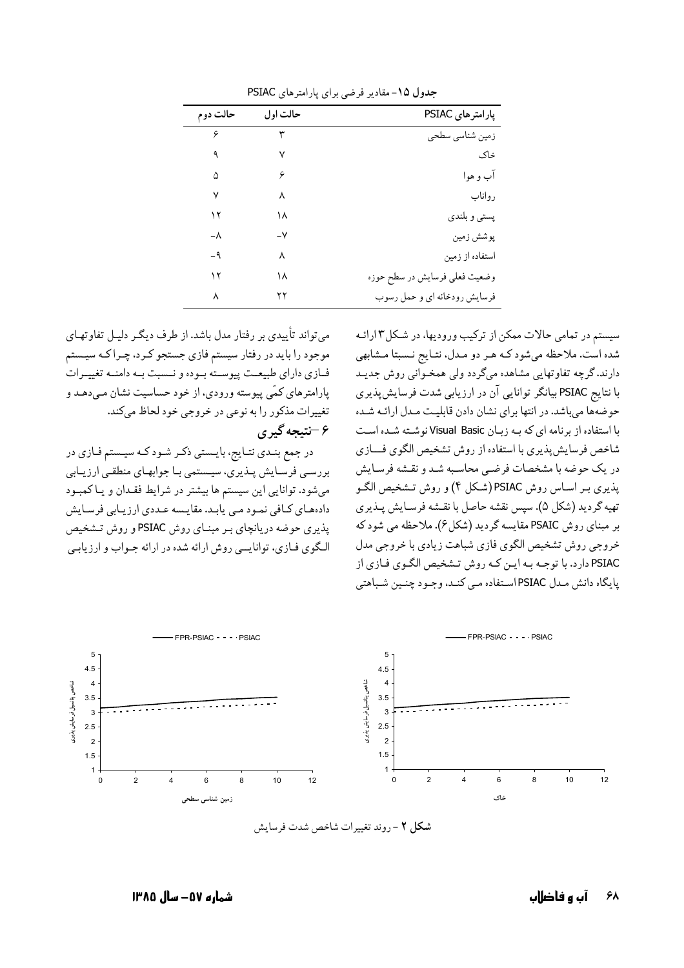| حالت دوم | حالت او ل | پارامترهای PSIAC              |
|----------|-----------|-------------------------------|
| ۶        | ٣         | زمین شناسی سطحی               |
| ٩        | ٧         | خاک                           |
| ۵        | ۶         | آب و هوا                      |
| ٧        | ٨         | رواناب                        |
| ۱۲       | ۱۸        | پستي و بلندي                  |
| -۸       | –∨        | پوشش زمين                     |
| -9       | ٨         | استفاده از زمین               |
| ۱۲       | ۱۸        | وضعيت فعلى فرسايش در سطح حوزه |
| ٨        | ۲۲        | فرسایش رودخانه ای و حمل رسوب  |

جدول ۱۵- مقادیر فرضی برای یارامترهای PSIAC

می تواند تأییدی بر رفتار مدل باشد. از طرف دیگـر دلیـل تفاوتهـای موجود را باید در رفتار سیستم فازی جستجو کـرد، چـراکـه سیـستم فازي داراي طبيعت پيوسته بوده و نـسبت بـه دامنـه تغييـرات پارامترهای کمّی پیوسته ورودی، از خود حساسیت نشان مـی دهـد و تغییرات مذکور را به نوعی در خروجی خود لحاظ میکند. ۶ –نتیجه گیر ی

در جمع بنـدي نتـايج، بايـستي ذكـر شـود كـه سيـستم فـازي در بررسبي فرسـايش پــذيري، سيــستمي بــا جوابهـاي منطقــي ارزيــابي میشود. توانایی این سیستم ها بیشتر در شرایط فقـدان و یـاکمبـود دادههای کافی نمود مبی پابد. مقایسه عـددی ارزیـابی فرسـایش پذیری حوضه دریانچای بـر مبنـای روش PSIAC و روش تـشخیص الگوی فیازی، توانایسی روش ارائه شده در ارائه جیواب و ارزیابسی سیستم در تمامی حالات ممکن از ترکیب ورودیها، در شکل۳ارائـه شده است. ملاحظه میشود کـه هـر دو مـدل، نتـايج نـسبتا مـشابهي دارند. گرچه تفاوتهایی مشاهده میگردد ولی همخـوانی روش جدیـد با نتایج PSIAC بیانگر توانایی آن در ارزیابی شدت فرسایشپذیری حوضهها میباشد. در انتها برای نشان دادن قابلیت مـدل ارائـه شـده با استفاده از برنامه ای که به زبان Visual Basic نوشته شده است شاخص فرسایش پذیری با استفاده از روش تشخیص الگوی فسازی در یک حوضه با مشخصات فرضی محاسبه شد و نقشه فرسایش یذیری بـر اسـاس روش PSIAC(شـکل ۴) و روش تـشخیص الگـو تهيه گرديد (شكل ۵). سپس نقشه حاصل با نقشه فرسـايش پـذيري بر مبنای روش PSAIC مقایسه گردید (شکل ۶). ملاحظه می شود که خروجي روش تشخيص الگوي فازي شباهت زيادي با خروجي مدل PSIAC دارد. با توجـه بـه ايـن كـه روش تـشخيص الگـوي فـازي از يايگاه دانش مـدل PSIAC اسـتفاده مـي كنـد، وجـود چنـين شـباهتي



شكل ٢ - روند تغييرات شاخص شدت فرسايش

شماره ۵۷– سال ۱۳۸۵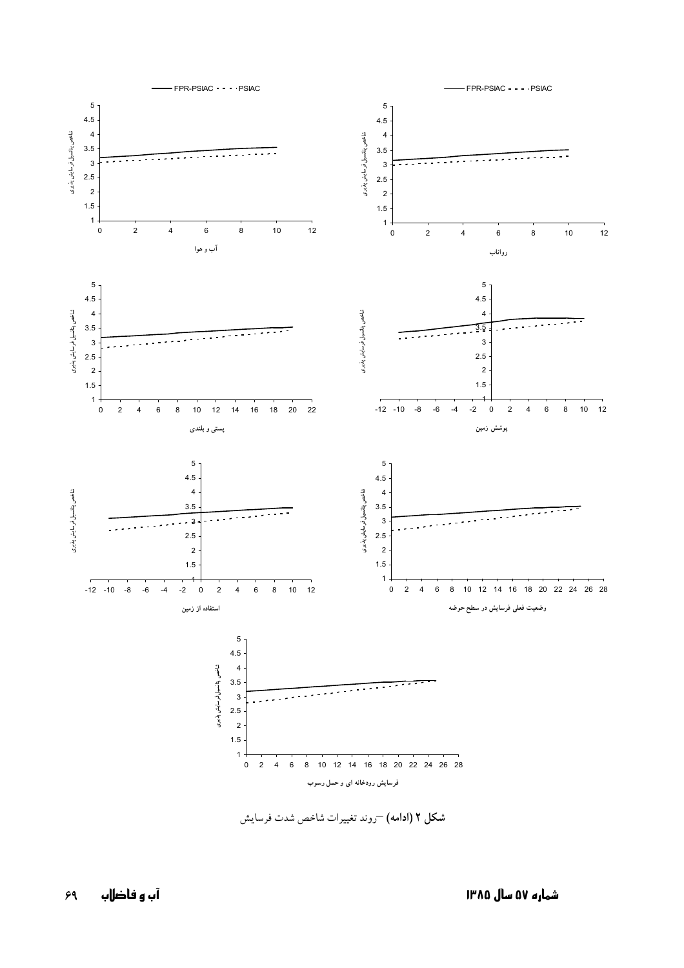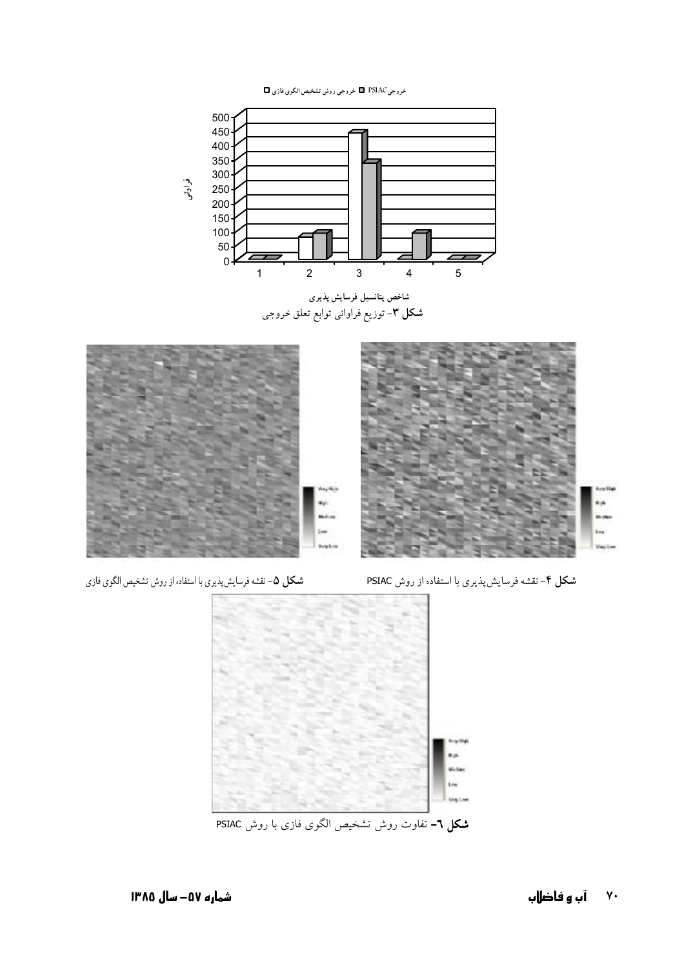خروجيPSIAC = خروجي روش تشخيص الگوي فازي ◘



شاخص پتانسیل فرسایش پذیری **شکل ۳**- توزیع فراوانی توابع تعلق خروجی



**شكل ۵**– نقشه فرسايشپذيري با استفاده از روش تشخيص الگوي فازي

**شکل ۴**–نقشه فرسایش پذیری با استفاده از روش PSIAC